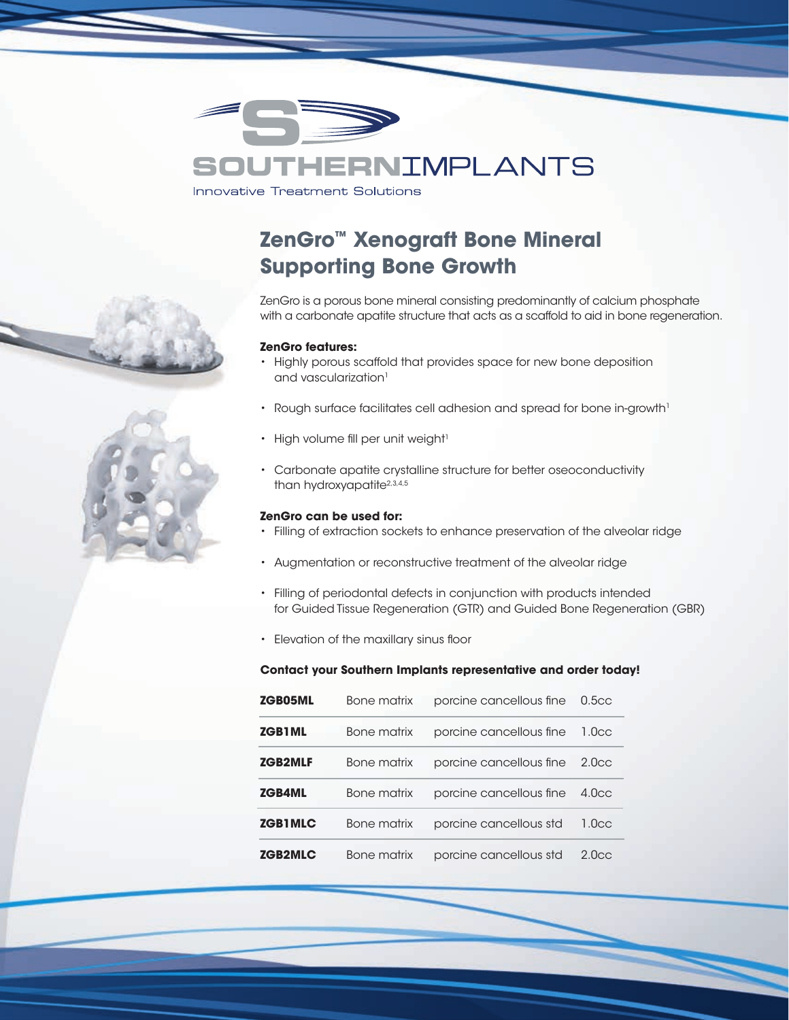

## **HERNIMPLANTS** Sol

**Innovative Treatment Solutions** 

# **ZenGro™ Xenograft Bone Mineral Supporting Bone Growth**

ZenGro is a porous bone mineral consisting predominantly of calcium phosphate with a carbonate apatite structure that acts as a scaffold to aid in bone regeneration.

#### **ZenGro features:**

- Highly porous scaffold that provides space for new bone deposition and vascularization<sup>1</sup>
- Rough surface facilitates cell adhesion and spread for bone in-growth<sup>1</sup>
- High volume fill per unit weight<sup>1</sup>
- Carbonate apatite crystalline structure for better oseoconductivity than hydroxyapatite<sup>2,3,4,5</sup>

## **ZenGro can be used for:**

- Filling of extraction sockets to enhance preservation of the alveolar ridge
- Augmentation or reconstructive treatment of the alveolar ridge
- Filling of periodontal defects in conjunction with products intended for Guided Tissue Regeneration (GTR) and Guided Bone Regeneration (GBR)
- Elevation of the maxillary sinus floor

## **Contact your Southern Implants representative and order today!**

| <b>ZGB05ML</b> | <b>Bone matrix</b> | porcine cancellous fine | 0.5 <sub>cc</sub> |
|----------------|--------------------|-------------------------|-------------------|
| <b>ZGB1ML</b>  | Bone matrix        | porcine cancellous fine | 1.0 <sub>cc</sub> |
| <b>ZGB2MLF</b> | <b>Bone matrix</b> | porcine cancellous fine | 2.0 <sub>cc</sub> |
| <b>ZGB4ML</b>  | Bone matrix        | porcine cancellous fine | 4.0 <sub>CC</sub> |
| <b>ZGB1MLC</b> | Bone matrix        | porcine cancellous std  | 1.0 <sub>cc</sub> |
| <b>ZGB2MLC</b> | <b>Bone matrix</b> | porcine cancellous std  | 2.0 <sub>CC</sub> |